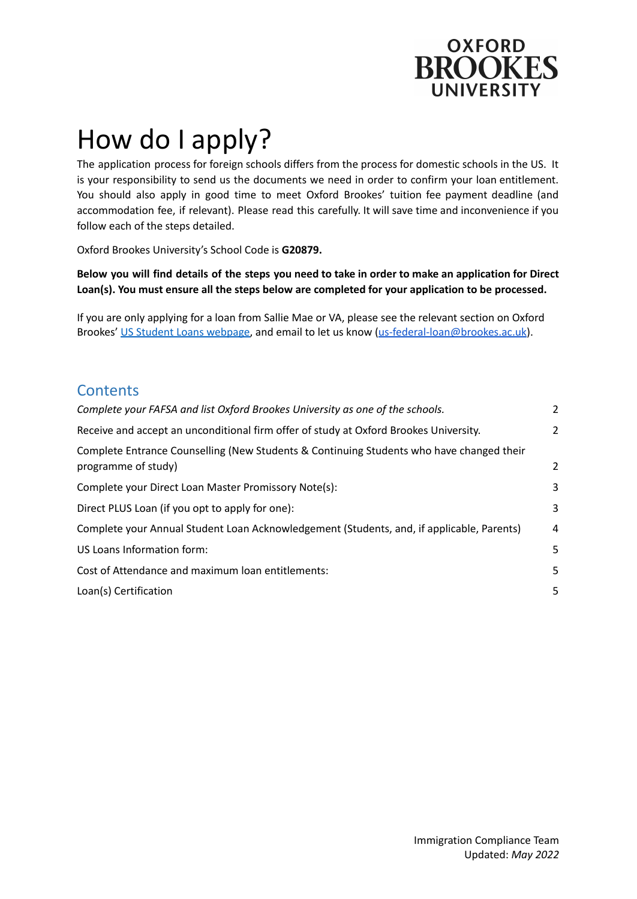

# How do I apply?

The application process for foreign schools differs from the process for domestic schools in the US. It is your responsibility to send us the documents we need in order to confirm your loan entitlement. You should also apply in good time to meet Oxford Brookes' tuition fee payment deadline (and accommodation fee, if relevant). Please read this carefully. It will save time and inconvenience if you follow each of the steps detailed.

Oxford Brookes University's School Code is **G20879.**

Below you will find details of the steps you need to take in order to make an application for Direct **Loan(s). You must ensure all the steps below are completed for your application to be processed.**

If you are only applying for a loan from Sallie Mae or VA, please see the relevant section on Oxford Brookes' US Student Loans [webpage,](https://www.brookes.ac.uk/student-life/support-and-wellbeing/managing-your-money/united-states-student-loans/) and email to let us know [\(us-federal-loan@brookes.ac.uk\)](mailto:us-federal-loan@brookes.ac.uk).

## **Contents**

| Complete your FAFSA and list Oxford Brookes University as one of the schools.                                   | 2 |
|-----------------------------------------------------------------------------------------------------------------|---|
| Receive and accept an unconditional firm offer of study at Oxford Brookes University.                           | 2 |
| Complete Entrance Counselling (New Students & Continuing Students who have changed their<br>programme of study) | 2 |
| Complete your Direct Loan Master Promissory Note(s):                                                            | 3 |
| Direct PLUS Loan (if you opt to apply for one):                                                                 | 3 |
| Complete your Annual Student Loan Acknowledgement (Students, and, if applicable, Parents)                       | 4 |
| US Loans Information form:                                                                                      | 5 |
| Cost of Attendance and maximum loan entitlements:                                                               | 5 |
| Loan(s) Certification                                                                                           | 5 |
|                                                                                                                 |   |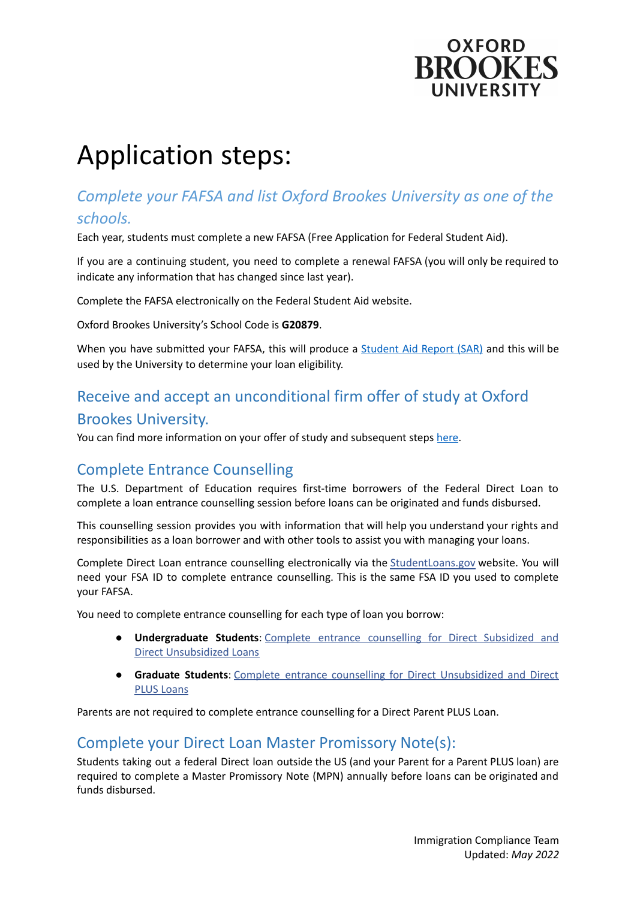

## Application steps:

## <span id="page-1-0"></span>*Complete your FAFSA and list Oxford Brookes University as one of the schools.*

Each year, students must complete a new [FAFSA](https://studentaid.gov/h/apply-for-aid/fafsa) (Free Application for Federal Student Aid).

If you are a continuing student, you need to complete a renewal FAFSA (you will only be required to indicate any information that has changed since last year).

Complete the FAFSA electronically on the Federal Student Aid website.

Oxford Brookes University's School Code is **G20879**.

When you have submitted your FAFSA, this will produce a **[Student](https://studentaid.gov/help-center/answers/article/what-is-sar) Aid Report (SAR)** and this will be used by the University to determine your loan eligibility.

## Receive and accept an unconditional firm offer of study at Oxford

### <span id="page-1-1"></span>Brookes University.

You can find more information on your offer of study and subsequent steps [here](https://www.brookes.ac.uk/international/applying-to-arriving/next-steps/).

## <span id="page-1-2"></span>Complete Entrance Counselling

The U.S. Department of Education requires first-time borrowers of the Federal Direct Loan to complete a loan entrance counselling session before loans can be originated and funds disbursed.

This counselling session provides you with information that will help you understand your rights and responsibilities as a loan borrower and with other tools to assist you with managing your loans.

Complete Direct Loan entrance counselling electronically via the [StudentLoans.gov](https://studentloans.gov/myDirectLoan/index.action) website. You will need your FSA ID to complete entrance counselling. This is the same FSA ID you used to complete your FAFSA.

You need to complete entrance counselling for each type of loan you borrow:

- **Undergraduate Students**: Complete entrance [counselling](https://studentaid.gov/app/counselingInstructions.action?counselingType=entrance) for Direct Subsidized and Direct [Unsubsidized](https://studentaid.gov/app/counselingInstructions.action?counselingType=entrance) Loans
- **Graduate Students**: Complete entrance counselling for Direct [Unsubsidized](https://studentloans.gov/myDirectLoan/counselingInstructions.action?counselingType=entrance) and Direct PLUS [Loans](https://studentloans.gov/myDirectLoan/counselingInstructions.action?counselingType=entrance)

Parents are not required to complete entrance counselling for a Direct Parent PLUS Loan.

## <span id="page-1-3"></span>Complete your Direct Loan Master Promissory Note(s):

Students taking out a federal Direct loan outside the US (and your Parent for a Parent PLUS loan) are required to complete a Master Promissory Note (MPN) annually before loans can be originated and funds disbursed.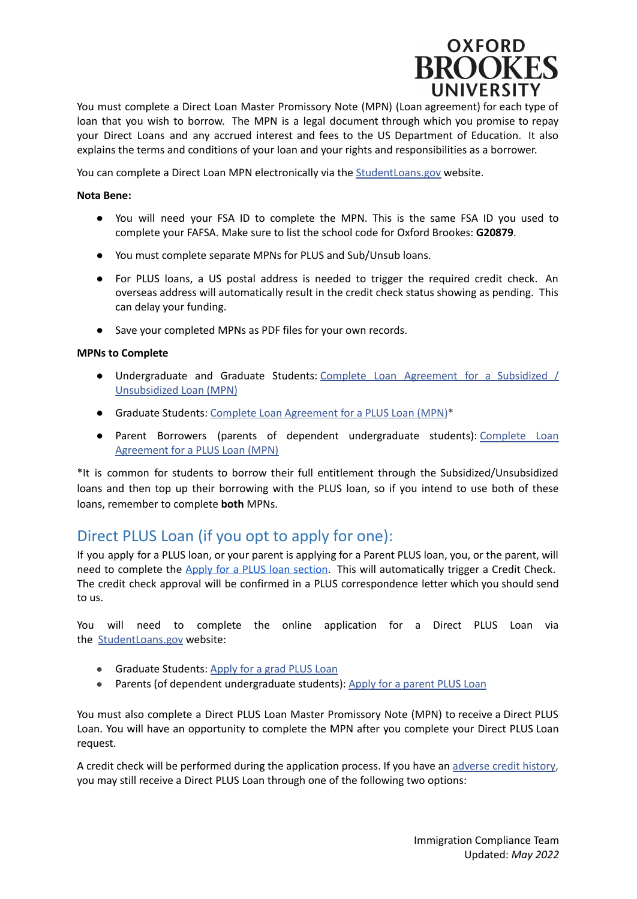

You must complete a Direct Loan Master Promissory Note (MPN) (Loan agreement) for each type of loan that you wish to borrow. The MPN is a legal document through which you promise to repay your Direct Loans and any accrued interest and fees to the US Department of Education. It also explains the terms and conditions of your loan and your rights and responsibilities as a borrower.

You can complete a Direct Loan MPN electronically via the [StudentLoans.gov](https://studentloans.gov/myDirectLoan/index.action) website.

#### **Nota Bene:**

- You will need your FSA ID to complete the MPN. This is the same FSA ID you used to complete your FAFSA. Make sure to list the school code for Oxford Brookes: **G20879**.
- You must complete separate MPNs for PLUS and Sub/Unsub loans.
- For PLUS loans, a US postal address is needed to trigger the required credit check. An overseas address will automatically result in the credit check status showing as pending. This can delay your funding.
- Save your completed MPNs as PDF files for your own records.

#### **MPNs to Complete**

- Undergraduate and Graduate Students: Complete Loan [Agreement](https://studentaid.gov/app/launchMpn.action?mpnType=subUnsubMpn) for a Subsidized / [Unsubsidized](https://studentaid.gov/app/launchMpn.action?mpnType=subUnsubMpn) Loan (MPN)
- Graduate Students: Complete Loan [Agreement](https://studentaid.gov/app/launchMpn.action?mpnType=gradPlusMpn) for a PLUS Loan (MPN)\*
- Parent Borrowers (parents of dependent undergraduate students): [Complete](https://studentaid.gov/app/launchMpn.action?mpnType=parentPlusMpn) Loan [Agreement](https://studentaid.gov/app/launchMpn.action?mpnType=parentPlusMpn) for a PLUS Loan (MPN)

\*It is common for students to borrow their full entitlement through the Subsidized/Unsubsidized loans and then top up their borrowing with the PLUS loan, so if you intend to use both of these loans, remember to complete **both** MPNs.

## <span id="page-2-0"></span>Direct PLUS Loan (if you opt to apply for one):

If you apply for a PLUS loan, or your parent is applying for a Parent PLUS loan, you, or the parent, will need to complete the Apply for a PLUS loan [section.](https://studentaid.gov/plus-app/) This will automatically trigger a Credit Check. The credit check approval will be confirmed in a PLUS correspondence letter which you should send to us.

You will need to complete the online application for a Direct PLUS Loan via the [StudentLoans.gov](https://studentloans.gov/myDirectLoan/index.action?counselingType=entrancetLoan/counselingInstructions.action%3fcounselingType=entrance) website:

- Graduate Students: [Apply](https://studentloans.gov/myDirectLoan/launchPLUS.action?plusType=gradPlus&_ga=2.2607280.1089142286.1551449708-430468396.1551449708) for a grad PLUS Loan
- Parents (of dependent undergraduate students): Apply for a [parent](https://studentloans.gov/myDirectLoan/launchPLUS.action?plusType=parentPlus&_ga=2.2607280.1089142286.1551449708-430468396.1551449708) PLUS Loan

You must also complete a Direct PLUS Loan Master Promissory Note (MPN) to receive a Direct PLUS Loan. You will have an opportunity to complete the MPN after you complete your Direct PLUS Loan request.

A credit check will be performed during the application process. If you have an [adverse](https://studentaid.ed.gov/sa/types/loans/plus) credit history, you may still receive a Direct PLUS Loan through one of the following two options: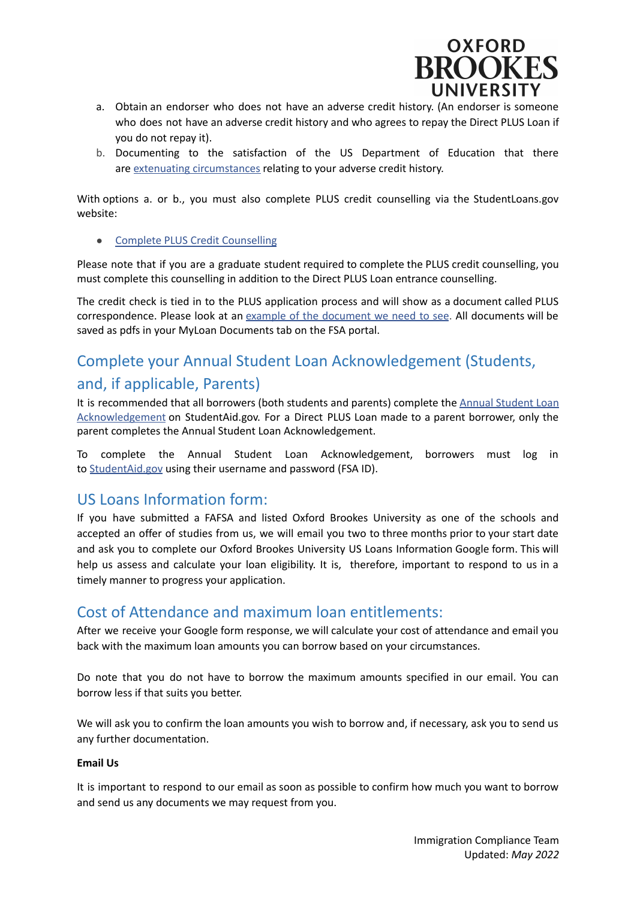

- a. Obtain an endorser who does not have an adverse credit history. (An endorser is someone who does not have an adverse credit history and who agrees to repay the Direct PLUS Loan if you do not repay it).
- b. Documenting to the satisfaction of the US Department of Education that there are extenuating [circumstances](https://studentloans.gov/myDirectLoan/whatYouNeed.action?page=credit&_ga=2.44694564.1089142286.1551449708-430468396.1551449708) relating to your adverse credit history.

With options a. or b., you must also complete PLUS credit counselling via the StudentLoans.gov website:

● Complete PLUS Credit [Counselling](https://studentloans.gov/myDirectLoan/counselingInstructions.action?counselingType=plus)

Please note that if you are a graduate student required to complete the PLUS credit counselling, you must complete this counselling in addition to the Direct PLUS Loan entrance counselling.

The credit check is tied in to the PLUS application process and will show as a document called PLUS correspondence. Please look at an example of the [document](https://www.abdn.ac.uk/students/documents/Credit_Check_Sample_(3).pdf) we need to see. All documents will be saved as pdfs in your MyLoan Documents tab on the FSA portal.

## <span id="page-3-0"></span>Complete your Annual Student Loan Acknowledgement (Students, and, if applicable, Parents)

It is recommended that all borrowers (both students and parents) complete the Annual [Student](https://studentaid.gov/help-center/answers/article/what-is-asla) Loan [Acknowledgement](https://studentaid.gov/help-center/answers/article/what-is-asla) on StudentAid.gov. For a Direct PLUS Loan made to a parent borrower, only the parent completes the Annual Student Loan Acknowledgement.

To complete the Annual Student Loan Acknowledgement, borrowers must log in to [StudentAid.gov](https://studentaid.gov/asla/) using their username and password (FSA ID).

## <span id="page-3-1"></span>US Loans Information form:

If you have submitted a FAFSA and listed Oxford Brookes University as one of the schools and accepted an offer of studies from us, we will email you two to three months prior to your start date and ask you to complete our Oxford Brookes University US Loans Information Google form. This will help us assess and calculate your loan eligibility. It is, therefore, important to respond to us in a timely manner to progress your application.

## <span id="page-3-2"></span>Cost of Attendance and maximum loan entitlements:

After we receive your Google form response, we will calculate your cost of attendance and email you back with the maximum loan amounts you can borrow based on your circumstances.

Do note that you do not have to borrow the maximum amounts specified in our email. You can borrow less if that suits you better.

We will ask you to confirm the loan amounts you wish to borrow and, if necessary, ask you to send us any further documentation.

#### **Email Us**

It is important to respond to our email as soon as possible to confirm how much you want to borrow and send us any documents we may request from you.